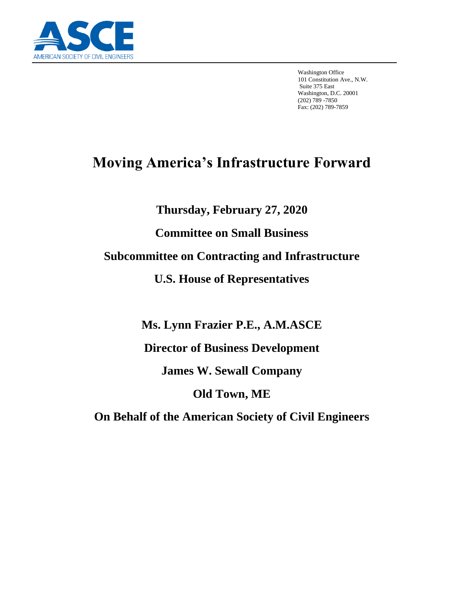

Washington Office 101 Constitution Ave., N.W. Suite 375 East Washington, D.C. 20001 (202) 789 -7850 Fax: (202) 789-7859

# **Moving America's Infrastructure Forward**

**Thursday, February 27, 2020**

**Committee on Small Business**

**Subcommittee on Contracting and Infrastructure**

**U.S. House of Representatives**

**Ms. Lynn Frazier P.E., A.M.ASCE**

**Director of Business Development**

**James W. Sewall Company**

**Old Town, ME**

**On Behalf of the American Society of Civil Engineers**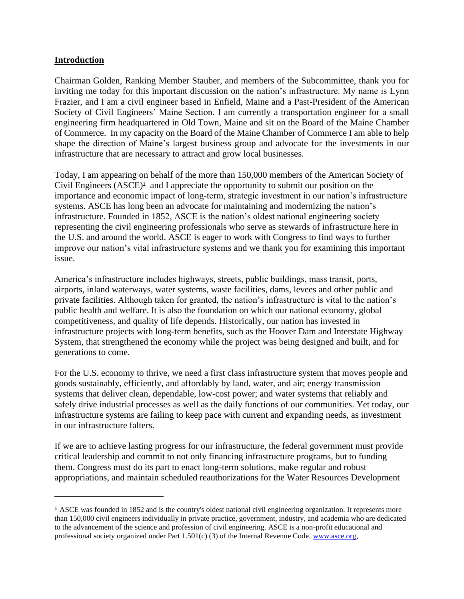#### **Introduction**

Chairman Golden, Ranking Member Stauber, and members of the Subcommittee, thank you for inviting me today for this important discussion on the nation's infrastructure. My name is Lynn Frazier, and I am a civil engineer based in Enfield, Maine and a Past-President of the American Society of Civil Engineers' Maine Section. I am currently a transportation engineer for a small engineering firm headquartered in Old Town, Maine and sit on the Board of the Maine Chamber of Commerce. In my capacity on the Board of the Maine Chamber of Commerce I am able to help shape the direction of Maine's largest business group and advocate for the investments in our infrastructure that are necessary to attract and grow local businesses.

Today, I am appearing on behalf of the more than 150,000 members of the American Society of Civil Engineers  $(ASEE)^1$  and I appreciate the opportunity to submit our position on the importance and economic impact of long-term, strategic investment in our nation's infrastructure systems. ASCE has long been an advocate for maintaining and modernizing the nation's infrastructure. Founded in 1852, ASCE is the nation's oldest national engineering society representing the civil engineering professionals who serve as stewards of infrastructure here in the U.S. and around the world. ASCE is eager to work with Congress to find ways to further improve our nation's vital infrastructure systems and we thank you for examining this important issue.

America's infrastructure includes highways, streets, public buildings, mass transit, ports, airports, inland waterways, water systems, waste facilities, dams, levees and other public and private facilities. Although taken for granted, the nation's infrastructure is vital to the nation's public health and welfare. It is also the foundation on which our national economy, global competitiveness, and quality of life depends. Historically, our nation has invested in infrastructure projects with long-term benefits, such as the Hoover Dam and Interstate Highway System, that strengthened the economy while the project was being designed and built, and for generations to come.

For the U.S. economy to thrive, we need a first class infrastructure system that moves people and goods sustainably, efficiently, and affordably by land, water, and air; energy transmission systems that deliver clean, dependable, low-cost power; and water systems that reliably and safely drive industrial processes as well as the daily functions of our communities. Yet today, our infrastructure systems are failing to keep pace with current and expanding needs, as investment in our infrastructure falters.

If we are to achieve lasting progress for our infrastructure, the federal government must provide critical leadership and commit to not only financing infrastructure programs, but to funding them. Congress must do its part to enact long-term solutions, make regular and robust appropriations, and maintain scheduled reauthorizations for the Water Resources Development

<sup>1</sup> ASCE was founded in 1852 and is the country's oldest national civil engineering organization. It represents more than 150,000 civil engineers individually in private practice, government, industry, and academia who are dedicated to the advancement of the science and profession of civil engineering. ASCE is a non-profit educational and professional society organized under Part 1.501(c) (3) of the Internal Revenue Code. [www.asce.org,](http://www.asce.org/)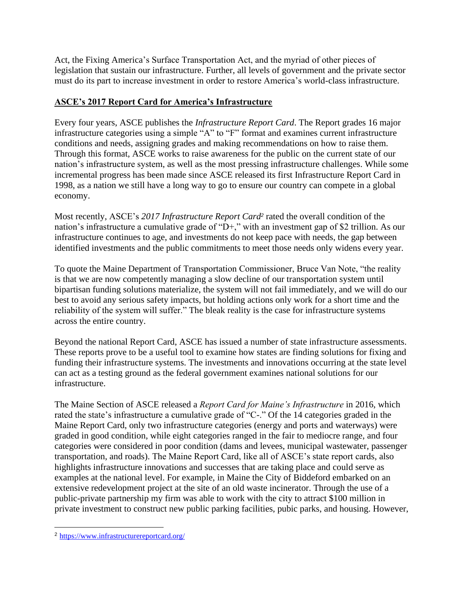Act, the Fixing America's Surface Transportation Act, and the myriad of other pieces of legislation that sustain our infrastructure. Further, all levels of government and the private sector must do its part to increase investment in order to restore America's world-class infrastructure.

### **ASCE's 2017 Report Card for America's Infrastructure**

Every four years, ASCE publishes the *Infrastructure Report Card*. The Report grades 16 major infrastructure categories using a simple "A" to "F" format and examines current infrastructure conditions and needs, assigning grades and making recommendations on how to raise them. Through this format, ASCE works to raise awareness for the public on the current state of our nation's infrastructure system, as well as the most pressing infrastructure challenges. While some incremental progress has been made since ASCE released its first Infrastructure Report Card in 1998, as a nation we still have a long way to go to ensure our country can compete in a global economy.

Most recently, ASCE's *2017 Infrastructure Report Card<sup>2</sup>* rated the overall condition of the nation's infrastructure a cumulative grade of "D+," with an investment gap of \$2 trillion. As our infrastructure continues to age, and investments do not keep pace with needs, the gap between identified investments and the public commitments to meet those needs only widens every year.

To quote the Maine Department of Transportation Commissioner, Bruce Van Note, "the reality is that we are now competently managing a slow decline of our transportation system until bipartisan funding solutions materialize, the system will not fail immediately, and we will do our best to avoid any serious safety impacts, but holding actions only work for a short time and the reliability of the system will suffer." The bleak reality is the case for infrastructure systems across the entire country.

Beyond the national Report Card, ASCE has issued a number of state infrastructure assessments. These reports prove to be a useful tool to examine how states are finding solutions for fixing and funding their infrastructure systems. The investments and innovations occurring at the state level can act as a testing ground as the federal government examines national solutions for our infrastructure.

The Maine Section of ASCE released a *Report Card for Maine's Infrastructure* in 2016, which rated the state's infrastructure a cumulative grade of "C-." Of the 14 categories graded in the Maine Report Card, only two infrastructure categories (energy and ports and waterways) were graded in good condition, while eight categories ranged in the fair to mediocre range, and four categories were considered in poor condition (dams and levees, municipal wastewater, passenger transportation, and roads). The Maine Report Card, like all of ASCE's state report cards, also highlights infrastructure innovations and successes that are taking place and could serve as examples at the national level. For example, in Maine the City of Biddeford embarked on an extensive redevelopment project at the site of an old waste incinerator. Through the use of a public-private partnership my firm was able to work with the city to attract \$100 million in private investment to construct new public parking facilities, pubic parks, and housing. However,

<sup>2</sup> <https://www.infrastructurereportcard.org/>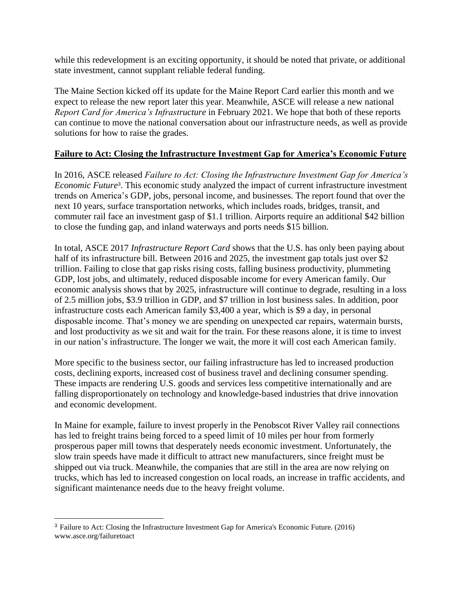while this redevelopment is an exciting opportunity, it should be noted that private, or additional state investment, cannot supplant reliable federal funding.

The Maine Section kicked off its update for the Maine Report Card earlier this month and we expect to release the new report later this year. Meanwhile, ASCE will release a new national *Report Card for America's Infrastructure* in February 2021. We hope that both of these reports can continue to move the national conversation about our infrastructure needs, as well as provide solutions for how to raise the grades.

#### **Failure to Act: Closing the Infrastructure Investment Gap for America's Economic Future**

In 2016, ASCE released *Failure to Act: Closing the Infrastructure Investment Gap for America's Economic Future*<sup>3</sup> . This economic study analyzed the impact of current infrastructure investment trends on America's GDP, jobs, personal income, and businesses. The report found that over the next 10 years, surface transportation networks, which includes roads, bridges, transit, and commuter rail face an investment gasp of \$1.1 trillion. Airports require an additional \$42 billion to close the funding gap, and inland waterways and ports needs \$15 billion.

In total, ASCE 2017 *Infrastructure Report Card* shows that the U.S. has only been paying about half of its infrastructure bill. Between 2016 and 2025, the investment gap totals just over \$2 trillion. Failing to close that gap risks rising costs, falling business productivity, plummeting GDP, lost jobs, and ultimately, reduced disposable income for every American family. Our economic analysis shows that by 2025, infrastructure will continue to degrade, resulting in a loss of 2.5 million jobs, \$3.9 trillion in GDP, and \$7 trillion in lost business sales. In addition, poor infrastructure costs each American family \$3,400 a year, which is \$9 a day, in personal disposable income. That's money we are spending on unexpected car repairs, watermain bursts, and lost productivity as we sit and wait for the train. For these reasons alone, it is time to invest in our nation's infrastructure. The longer we wait, the more it will cost each American family.

More specific to the business sector, our failing infrastructure has led to increased production costs, declining exports, increased cost of business travel and declining consumer spending. These impacts are rendering U.S. goods and services less competitive internationally and are falling disproportionately on technology and knowledge-based industries that drive innovation and economic development.

In Maine for example, failure to invest properly in the Penobscot River Valley rail connections has led to freight trains being forced to a speed limit of 10 miles per hour from formerly prosperous paper mill towns that desperately needs economic investment. Unfortunately, the slow train speeds have made it difficult to attract new manufacturers, since freight must be shipped out via truck. Meanwhile, the companies that are still in the area are now relying on trucks, which has led to increased congestion on local roads, an increase in traffic accidents, and significant maintenance needs due to the heavy freight volume.

<sup>3</sup> Failure to Act: Closing the Infrastructure Investment Gap for America's Economic Future. (2016) www.asce.org/failuretoact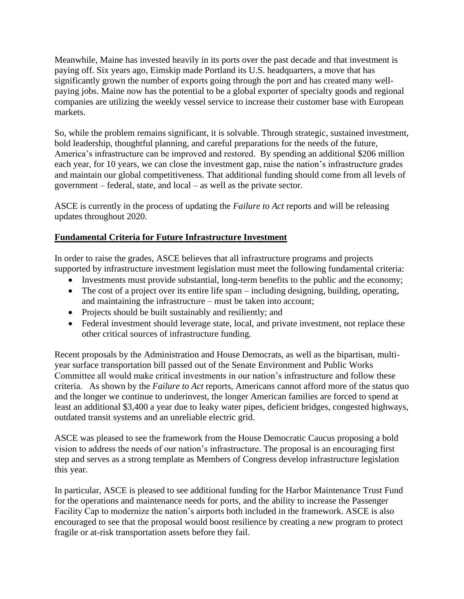Meanwhile, Maine has invested heavily in its ports over the past decade and that investment is paying off. Six years ago, Eimskip made Portland its U.S. headquarters, a move that has significantly grown the number of exports going through the port and has created many wellpaying jobs. Maine now has the potential to be a global exporter of specialty goods and regional companies are utilizing the weekly vessel service to increase their customer base with European markets.

So, while the problem remains significant, it is solvable. Through strategic, sustained investment, bold leadership, thoughtful planning, and careful preparations for the needs of the future, America's infrastructure can be improved and restored. By spending an additional \$206 million each year, for 10 years, we can close the investment gap, raise the nation's infrastructure grades and maintain our global competitiveness. That additional funding should come from all levels of government – federal, state, and local – as well as the private sector.

ASCE is currently in the process of updating the *Failure to Act* reports and will be releasing updates throughout 2020.

## **Fundamental Criteria for Future Infrastructure Investment**

In order to raise the grades, ASCE believes that all infrastructure programs and projects supported by infrastructure investment legislation must meet the following fundamental criteria:

- Investments must provide substantial, long-term benefits to the public and the economy;
- The cost of a project over its entire life span including designing, building, operating, and maintaining the infrastructure – must be taken into account;
- Projects should be built sustainably and resiliently; and
- Federal investment should leverage state, local, and private investment, not replace these other critical sources of infrastructure funding.

Recent proposals by the Administration and House Democrats, as well as the bipartisan, multiyear surface transportation bill passed out of the Senate Environment and Public Works Committee all would make critical investments in our nation's infrastructure and follow these criteria. As shown by the *Failure to Act* reports, Americans cannot afford more of the status quo and the longer we continue to underinvest, the longer American families are forced to spend at least an additional \$3,400 a year due to leaky water pipes, deficient bridges, congested highways, outdated transit systems and an unreliable electric grid.

ASCE was pleased to see the framework from the House Democratic Caucus proposing a bold vision to address the needs of our nation's infrastructure. The proposal is an encouraging first step and serves as a strong template as Members of Congress develop infrastructure legislation this year.

In particular, ASCE is pleased to see additional funding for the Harbor Maintenance Trust Fund for the operations and maintenance needs for ports, and the ability to increase the Passenger Facility Cap to modernize the nation's airports both included in the framework. ASCE is also encouraged to see that the proposal would boost resilience by creating a new program to protect fragile or at-risk transportation assets before they fail.